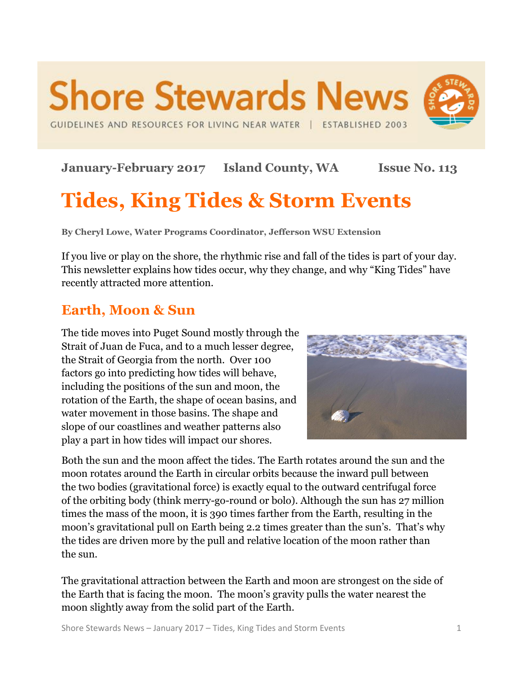GUIDELINES AND RESOURCES FOR LIVING NEAR WATER | ESTABLISHED 2003

**Shore Stewards News** 

**January-February 2017 Island County, WA Issue No. 113**

# **Tides, King Tides & Storm Events**

**By Cheryl Lowe, Water Programs Coordinator, Jefferson WSU Extension**

If you live or play on the shore, the rhythmic rise and fall of the tides is part of your day. This newsletter explains how tides occur, why they change, and why "King Tides" have recently attracted more attention.

# **Earth, Moon & Sun**

The tide moves into Puget Sound mostly through the Strait of Juan de Fuca, and to a much lesser degree, the Strait of Georgia from the north. Over 100 factors go into predicting how tides will behave, including the positions of the sun and moon, the rotation of the Earth, the shape of ocean basins, and water movement in those basins. The shape and slope of our coastlines and weather patterns also play a part in how tides will impact our shores.



Both the sun and the moon affect the tides. The Earth rotates around the sun and the moon rotates around the Earth in circular orbits because the inward pull between the two bodies (gravitational force) is exactly equal to the outward centrifugal force of the orbiting body (think merry-go-round or bolo). Although the sun has 27 million times the mass of the moon, it is 390 times farther from the Earth, resulting in the moon's gravitational pull on Earth being 2.2 times greater than the sun's. That's why the tides are driven more by the pull and relative location of the moon rather than the sun.

The gravitational attraction between the Earth and moon are strongest on the side of the Earth that is facing the moon. The moon's gravity pulls the water nearest the moon slightly away from the solid part of the Earth.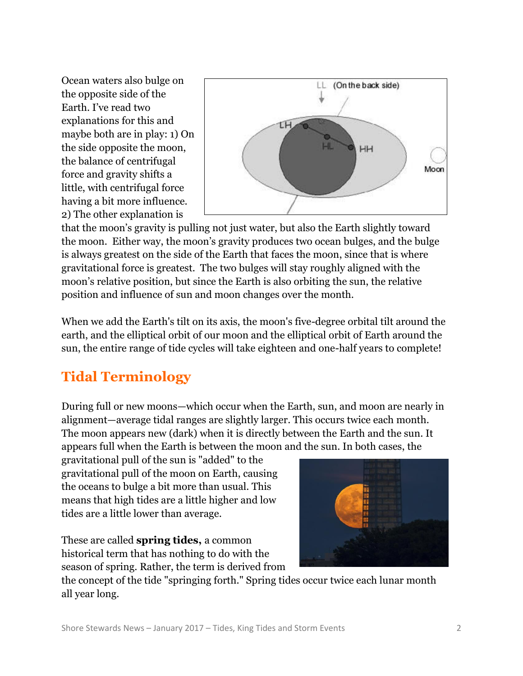Ocean waters also bulge on the opposite side of the Earth. I've read two explanations for this and maybe both are in play: 1) On the side opposite the moon, the balance of centrifugal force and gravity shifts a little, with centrifugal force having a bit more influence. 2) The other explanation is



that the moon's gravity is pulling not just water, but also the Earth slightly toward the moon. Either way, the moon's gravity produces two ocean bulges, and the bulge is always greatest on the side of the Earth that faces the moon, since that is where gravitational force is greatest. The two bulges will stay roughly aligned with the moon's relative position, but since the Earth is also orbiting the sun, the relative position and influence of sun and moon changes over the month.

When we add the Earth's tilt on its axis, the moon's five-degree orbital tilt around the earth, and the elliptical orbit of our moon and the elliptical orbit of Earth around the sun, the entire range of tide cycles will take eighteen and one-half years to complete!

# **Tidal Terminology**

During full or new moons—which occur when the Earth, sun, and moon are nearly in alignment—average tidal ranges are slightly larger. This occurs twice each month. The moon appears new (dark) when it is directly between the Earth and the sun. It appears full when the Earth is between the moon and the sun. In both cases, the

gravitational pull of the sun is "added" to the gravitational pull of the moon on Earth, causing the oceans to bulge a bit more than usual. This means that high tides are a little higher and low tides are a little lower than average.

These are called **spring tides,** a common historical term that has nothing to do with the season of spring. Rather, the term is derived from



the concept of the tide "springing forth." Spring tides occur twice each lunar month all year long.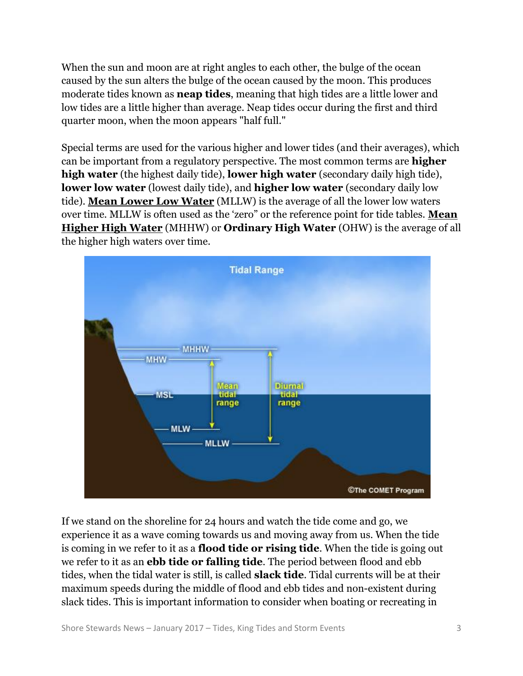When the sun and moon are at right angles to each other, the bulge of the ocean caused by the sun alters the bulge of the ocean caused by the moon. This produces moderate tides known as **neap tides**, meaning that high tides are a little lower and low tides are a little higher than average. Neap tides occur during the first and third quarter moon, when the moon appears "half full."

Special terms are used for the various higher and lower tides (and their averages), which can be important from a regulatory perspective. The most common terms are **higher high water** (the highest daily tide), **lower high water** (secondary daily high tide), **lower low water** (lowest daily tide), and **higher low water** (secondary daily low tide). **Mean Lower Low Water** (MLLW) is the average of all the lower low waters over time. MLLW is often used as the 'zero" or the reference point for tide tables. **Mean Higher High Water** (MHHW) or **Ordinary High Water** (OHW) is the average of all the higher high waters over time.



If we stand on the shoreline for 24 hours and watch the tide come and go, we experience it as a wave coming towards us and moving away from us. When the tide is coming in we refer to it as a **flood tide or rising tide**. When the tide is going out we refer to it as an **ebb tide or falling tide**. The period between flood and ebb tides, when the tidal water is still, is called **slack tide**. Tidal currents will be at their maximum speeds during the middle of flood and ebb tides and non-existent during slack tides. This is important information to consider when boating or recreating in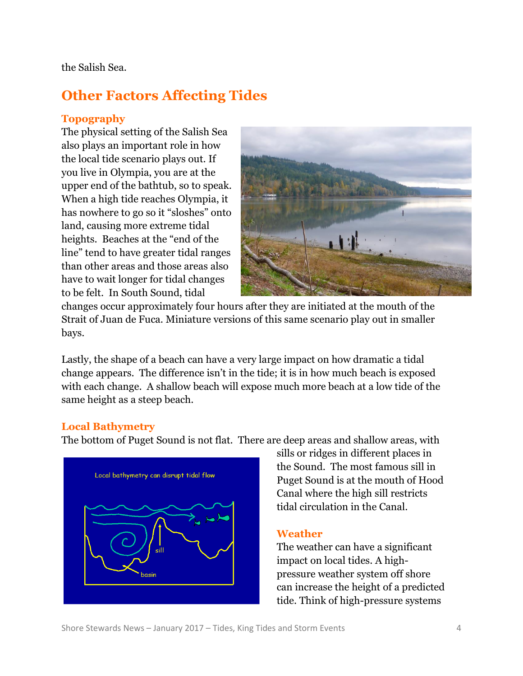the Salish Sea.

# **Other Factors Affecting Tides**

### **Topography**

The physical setting of the Salish Sea also plays an important role in how the local tide scenario plays out. If you live in Olympia, you are at the upper end of the bathtub, so to speak. When a high tide reaches Olympia, it has nowhere to go so it "sloshes" onto land, causing more extreme tidal heights. Beaches at the "end of the line" tend to have greater tidal ranges than other areas and those areas also have to wait longer for tidal changes to be felt. In South Sound, tidal



changes occur approximately four hours after they are initiated at the mouth of the Strait of Juan de Fuca. Miniature versions of this same scenario play out in smaller bays.

Lastly, the shape of a beach can have a very large impact on how dramatic a tidal change appears. The difference isn't in the tide; it is in how much beach is exposed with each change. A shallow beach will expose much more beach at a low tide of the same height as a steep beach.

### **Local Bathymetry**

The bottom of Puget Sound is not flat. There are deep areas and shallow areas, with



sills or ridges in different places in the Sound. The most famous sill in Puget Sound is at the mouth of Hood Canal where the high sill restricts tidal circulation in the Canal.

### **Weather**

The weather can have a significant impact on local tides. A highpressure weather system off shore can increase the height of a predicted tide. Think of high-pressure systems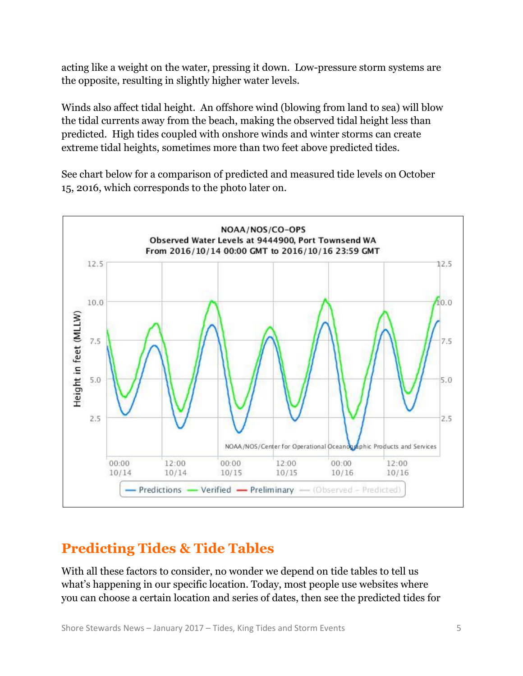acting like a weight on the water, pressing it down. Low-pressure storm systems are the opposite, resulting in slightly higher water levels.

Winds also affect tidal height. An offshore wind (blowing from land to sea) will blow the tidal currents away from the beach, making the observed tidal height less than predicted. High tides coupled with onshore winds and winter storms can create extreme tidal heights, sometimes more than two feet above predicted tides.

See chart below for a comparison of predicted and measured tide levels on October 15, 2016, which corresponds to the photo later on.



# **Predicting Tides & Tide Tables**

With all these factors to consider, no wonder we depend on tide tables to tell us what's happening in our specific location. Today, most people use websites where you can choose a certain location and series of dates, then see the predicted tides for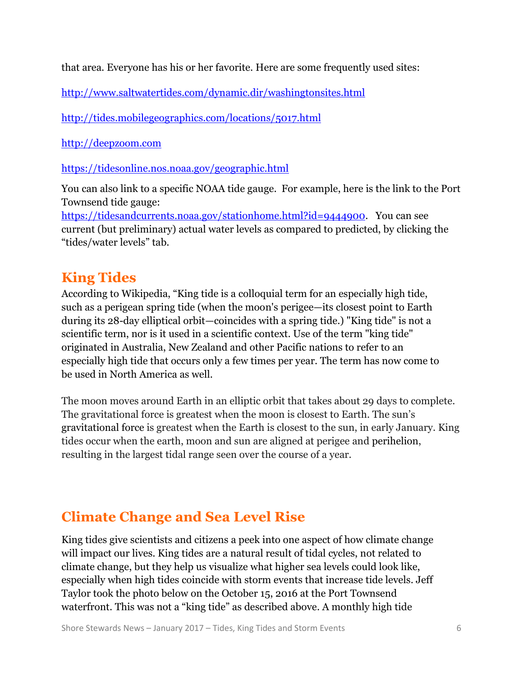that area. Everyone has his or her favorite. Here are some frequently used sites:

<http://www.saltwatertides.com/dynamic.dir/washingtonsites.html>

<http://tides.mobilegeographics.com/locations/5017.html>

[http://deepzoom.com](http://deepzoom.com/)

<https://tidesonline.nos.noaa.gov/geographic.html>

You can also link to a specific NOAA tide gauge. For example, here is the link to the Port Townsend tide gauge:

[https://tidesandcurrents.noaa.gov/stationhome.html?id=9444900.](https://urldefense.proofpoint.com/v2/url?u=https-3A__tidesandcurrents.noaa.gov_stationhome.html-3Fid-3D9444900&d=DQMFaQ&c=C3yme8gMkxg_ihJNXS06ZyWk4EJm8LdrrvxQb-Je7sw&r=SKPlR1_N3ZIh373yN-7Ex8ah68AdqzJO0aZoYjIQYBM&m=SfupJAXDbe37AOnWQpD6sAPZJo1J4z0KcRYe0171mCY&s=EeK52S8h_ibY0tR7qTUVadaqx2hvE2Z6i9czcGsOLKw&e=) You can see current (but preliminary) actual water levels as compared to predicted, by clicking the "tides/water levels" tab.

## **King Tides**

According to Wikipedia, "King tide is a colloquial term for an especially high tide, such as a perigean spring tide (when the moon's perigee—its closest point to Earth during its 28-day elliptical orbit—coincides with a spring tide.) "King tide" is not a scientific term, nor is it used in a scientific context. Use of the term "king tide" originated in Australia, New Zealand and other Pacific nations to refer to an especially high tide that occurs only a few times per year. The term has now come to be used in North America as well.

The moon moves around Earth in an elliptic orbit that takes about 29 days to complete. The gravitational force is greatest when the moon is closest to Earth. The sun's gravitational force is greatest when the Earth is closest to the sun, in early January. King tides occur when the earth, moon and sun are aligned at perigee and perihelion, resulting in the largest tidal range seen over the course of a year.

# **Climate Change and Sea Level Rise**

King tides give scientists and citizens a peek into one aspect of how climate change will impact our lives. King tides are a natural result of tidal cycles, not related to climate change, but they help us visualize what higher sea levels could look like, especially when high tides coincide with storm events that increase tide levels. Jeff Taylor took the photo below on the October 15, 2016 at the Port Townsend waterfront. This was not a "king tide" as described above. A monthly high tide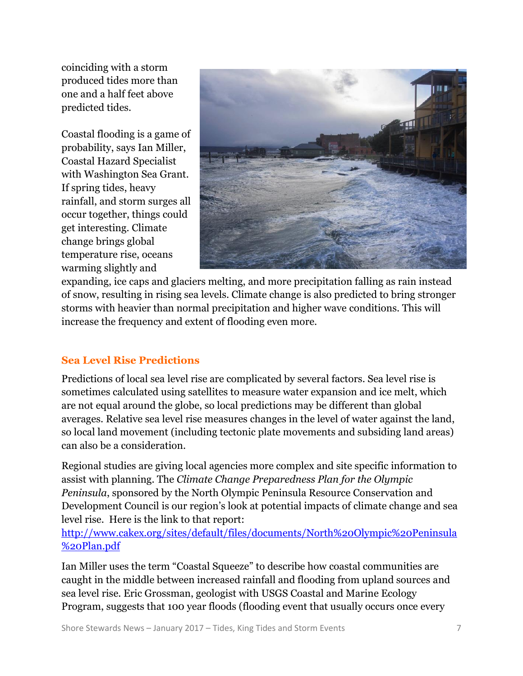coinciding with a storm produced tides more than one and a half feet above predicted tides.

Coastal flooding is a game of probability, says Ian Miller, Coastal Hazard Specialist with Washington Sea Grant. If spring tides, heavy rainfall, and storm surges all occur together, things could get interesting. Climate change brings global temperature rise, oceans warming slightly and



expanding, ice caps and glaciers melting, and more precipitation falling as rain instead of snow, resulting in rising sea levels. Climate change is also predicted to bring stronger storms with heavier than normal precipitation and higher wave conditions. This will increase the frequency and extent of flooding even more.

### **Sea Level Rise Predictions**

Predictions of local sea level rise are complicated by several factors. Sea level rise is sometimes calculated using satellites to measure water expansion and ice melt, which are not equal around the globe, so local predictions may be different than global averages. Relative sea level rise measures changes in the level of water against the land, so local land movement (including tectonic plate movements and subsiding land areas) can also be a consideration.

Regional studies are giving local agencies more complex and site specific information to assist with planning. The *Climate Change Preparedness Plan for the Olympic Peninsula*, sponsored by the North Olympic Peninsula Resource Conservation and Development Council is our region's look at potential impacts of climate change and sea level rise. Here is the link to that report:

[http://www.cakex.org/sites/default/files/documents/North%20Olympic%20Peninsula](http://www.cakex.org/sites/default/files/documents/North%20Olympic%20Peninsula%20Plan.pdf) [%20Plan.pdf](http://www.cakex.org/sites/default/files/documents/North%20Olympic%20Peninsula%20Plan.pdf)

Ian Miller uses the term "Coastal Squeeze" to describe how coastal communities are caught in the middle between increased rainfall and flooding from upland sources and sea level rise. Eric Grossman, geologist with USGS Coastal and Marine Ecology Program, suggests that 100 year floods (flooding event that usually occurs once every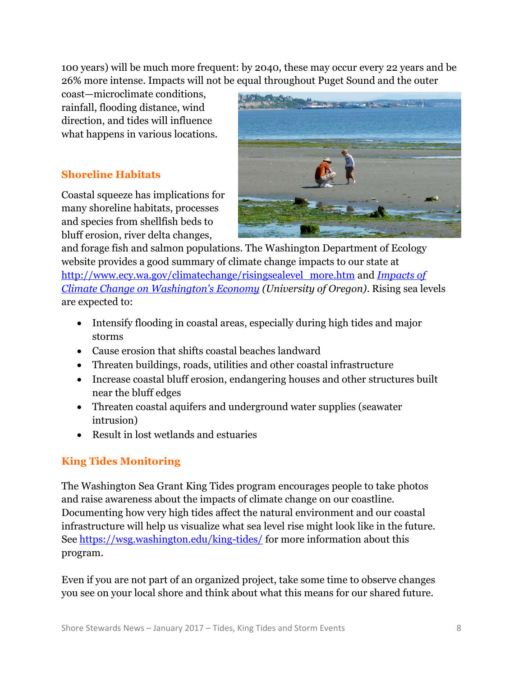100 years) will be much more frequent: by 2040, these may occur every 22 years and be 26% more intense. Impacts will not be equal throughout Puget Sound and the outer

coast—microclimate conditions, rainfall, flooding distance, wind direction, and tides will influence what happens in various locations.

### **Shoreline Habitats**

Coastal squeeze has implications for many shoreline habitats, processes and species from shellfish beds to bluff erosion, river delta changes,



and forage fish and salmon populations. The Washington Department of Ecology website provides a good summary of climate change impacts to our state at [http://www.ecy.wa.gov/climatechange/risingsealevel\\_more.htm](http://www.ecy.wa.gov/climatechange/risingsealevel_more.htm) and *[Impacts of](http://www.ecy.wa.gov/pubs/0701010.pdf)  [Climate Change on Washington's Economy](http://www.ecy.wa.gov/pubs/0701010.pdf) (University of Oregon)*. Rising sea levels are expected to:

- Intensify flooding in coastal areas, especially during high tides and major storms
- Cause erosion that shifts coastal beaches landward
- Threaten buildings, roads, utilities and other coastal infrastructure
- Increase coastal bluff erosion, endangering houses and other structures built near the bluff edges
- Threaten coastal aquifers and underground water supplies (seawater intrusion)
- Result in lost wetlands and estuaries

### **King Tides Monitoring**

The Washington Sea Grant King Tides program encourages people to take photos and raise awareness about the impacts of climate change on our coastline. Documenting how very high tides affect the natural environment and our coastal infrastructure will help us visualize what sea level rise might look like in the future. See<https://wsg.washington.edu/king-tides/> for more information about this program.

Even if you are not part of an organized project, take some time to observe changes you see on your local shore and think about what this means for our shared future.